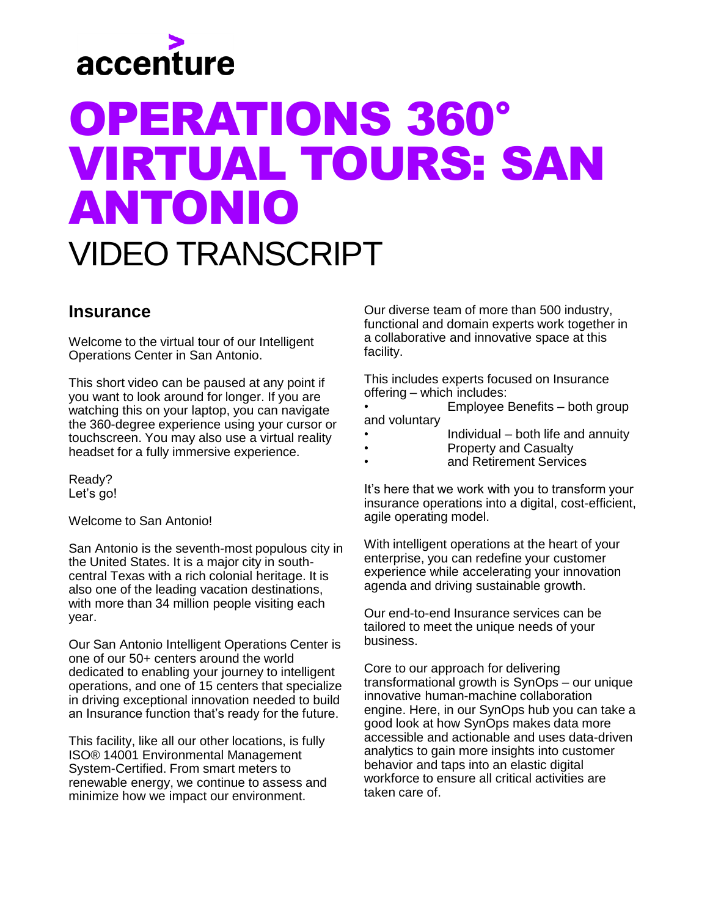

## OPERATIONS 360° VIRTUAL TOURS: SAN ANTONIO VIDEO TRANSCRIPT

## **Insurance**

Welcome to the virtual tour of our Intelligent Operations Center in San Antonio.

This short video can be paused at any point if you want to look around for longer. If you are watching this on your laptop, you can navigate the 360-degree experience using your cursor or touchscreen. You may also use a virtual reality headset for a fully immersive experience.

Ready? Let's go!

Welcome to San Antonio!

San Antonio is the seventh-most populous city in the United States. It is a major city in southcentral Texas with a rich colonial heritage. It is also one of the leading vacation destinations, with more than 34 million people visiting each year.

Our San Antonio Intelligent Operations Center is one of our 50+ centers around the world dedicated to enabling your journey to intelligent operations, and one of 15 centers that specialize in driving exceptional innovation needed to build an Insurance function that's ready for the future.

This facility, like all our other locations, is fully ISO® 14001 Environmental Management System-Certified. From smart meters to renewable energy, we continue to assess and minimize how we impact our environment.

Our diverse team of more than 500 industry, functional and domain experts work together in a collaborative and innovative space at this facility.

This includes experts focused on Insurance offering – which includes:

• Employee Benefits – both group and voluntary

- Individual  $-$  both life and annuity
- Property and Casualty
- and Retirement Services

It's here that we work with you to transform your insurance operations into a digital, cost-efficient, agile operating model.

With intelligent operations at the heart of your enterprise, you can redefine your customer experience while accelerating your innovation agenda and driving sustainable growth.

Our end-to-end Insurance services can be tailored to meet the unique needs of your business.

Core to our approach for delivering transformational growth is SynOps – our unique innovative human-machine collaboration engine. Here, in our SynOps hub you can take a good look at how SynOps makes data more accessible and actionable and uses data-driven analytics to gain more insights into customer behavior and taps into an elastic digital workforce to ensure all critical activities are taken care of.